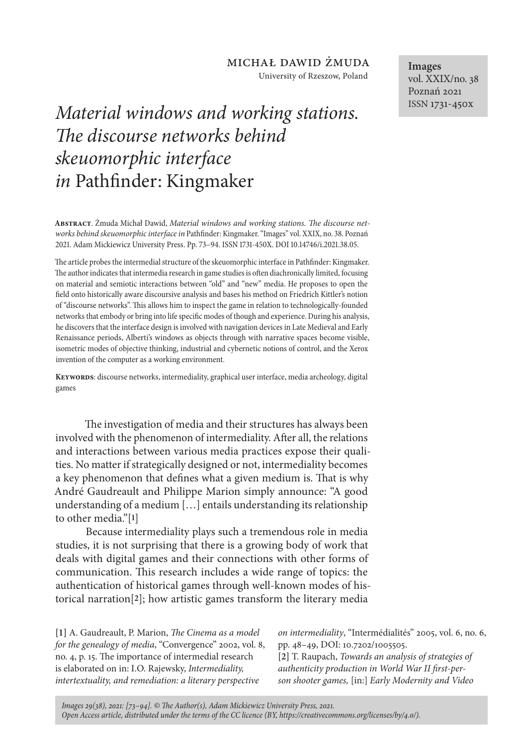University of Rzeszow, Poland

# *Material windows and working stations. The discourse networks behind skeuomorphic interface in* Pathfinder: Kingmaker

**Abstract**. Żmuda Michał Dawid, *Material windows and working stations. The discourse networks behind skeuomorphic interface in* Pathfinder: Kingmaker. "Images" vol. XXIX, no. 38. Poznań 2021. Adam Mickiewicz University Press. Pp. 73–94. ISSN 1731-450X. DOI 10.14746/i.2021.38.05.

The article probes the intermedial structure of the skeuomorphic interface in Pathfinder: Kingmaker. The author indicates that intermedia research in game studies is often diachronically limited, focusing on material and semiotic interactions between "old" and "new" media. He proposes to open the field onto historically aware discoursive analysis and bases his method on Friedrich Kittler's notion of "discourse networks". This allows him to inspect the game in relation to technologically-founded networks that embody or bring into life specific modes of though and experience. During his analysis, he discovers that the interface design is involved with navigation devices in Late Medieval and Early Renaissance periods, Alberti's windows as objects through with narrative spaces become visible, isometric modes of objective thinking, industrial and cybernetic notions of control, and the Xerox invention of the computer as a working environment.

**Keywords**: discourse networks, intermediality, graphical user interface, media archeology, digital games

The investigation of media and their structures has always been involved with the phenomenon of intermediality. After all, the relations and interactions between various media practices expose their qualities. No matter if strategically designed or not, intermediality becomes a key phenomenon that defines what a given medium is. That is why André Gaudreault and Philippe Marion simply announce: "A good understanding of a medium […] entails understanding its relationship to other media."[**1**]

Because intermediality plays such a tremendous role in media studies, it is not surprising that there is a growing body of work that deals with digital games and their connections with other forms of communication. This research includes a wide range of topics: the authentication of historical games through well-known modes of historical narration[**2**]; how artistic games transform the literary media

**[1]** A. Gaudreault, P. Marion, *The Cinema as a model for the genealogy of media*, "Convergence" 2002, vol. 8, no. 4, p. 15. The importance of intermedial research is elaborated on in: I.O. Rajewsky, *Intermediality, intertextuality, and remediation: a literary perspective* 

*on intermediality*, "Intermédialités" 2005, vol. 6, no. 6, pp. 48–49, DOI: 10.7202/1005505.

**[2]** T. Raupach, *Towards an analysis of strategies of authenticity production in World War II first-person shooter games,* [in:] *Early Modernity and Video* 

*Images 29(38), 2021: [73–94]. © The Author(s), Adam Mickiewicz University Press, 2021. Open Access article, distributed under the terms of the CC licence (BY, https://creativecommons.org/licenses/by/4.0/).*

**Images** vol. XXIX/no. 38 Poznań 2021 ISSN 1731-450x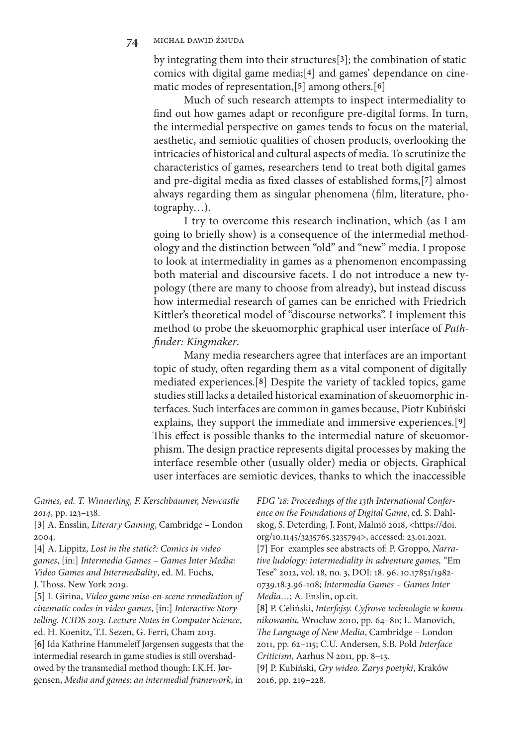by integrating them into their structures[**3**]; the combination of static comics with digital game media;[**4**] and games' dependance on cinematic modes of representation,[**5**] among others.[**6**]

Much of such research attempts to inspect intermediality to find out how games adapt or reconfigure pre-digital forms. In turn, the intermedial perspective on games tends to focus on the material, aesthetic, and semiotic qualities of chosen products, overlooking the intricacies of historical and cultural aspects of media. To scrutinize the characteristics of games, researchers tend to treat both digital games and pre-digital media as fixed classes of established forms,[**7**] almost always regarding them as singular phenomena (film, literature, photography…).

I try to overcome this research inclination, which (as I am going to briefly show) is a consequence of the intermedial methodology and the distinction between "old" and "new" media. I propose to look at intermediality in games as a phenomenon encompassing both material and discoursive facets. I do not introduce a new typology (there are many to choose from already), but instead discuss how intermedial research of games can be enriched with Friedrich Kittler's theoretical model of "discourse networks". I implement this method to probe the skeuomorphic graphical user interface of *Pathfinder: Kingmaker*.

Many media researchers agree that interfaces are an important topic of study, often regarding them as a vital component of digitally mediated experiences.[**8**] Despite the variety of tackled topics, game studies still lacks a detailed historical examination of skeuomorphic interfaces. Such interfaces are common in games because, Piotr Kubiński explains, they support the immediate and immersive experiences.[**9**] This effect is possible thanks to the intermedial nature of skeuomorphism. The design practice represents digital processes by making the interface resemble other (usually older) media or objects. Graphical user interfaces are semiotic devices, thanks to which the inaccessible

*Games, ed. T. Winnerling, F. Kerschbaumer, Newcastle 2014*, pp. 123–138.

**[3]** A. Ensslin, *Literary Gaming*, Cambridge – London 2004.

**[4]** A. Lippitz, *Lost in the static?: Comics in video games*, [in:] *Intermedia Games – Games Inter Media: Video Games and Intermediality*, ed. M. Fuchs, J. Thoss. New York 2019.

**[5]** I. Girina, *Video game mise-en-scene remediation of cinematic codes in video games*, [in:] *Interactive Storytelling. ICIDS 2013. Lecture Notes in Computer Science*, ed. H. Koenitz, T.I. Sezen, G. Ferri, Cham 2013. **[6]** Ida Kathrine Hammeleff Jørgensen suggests that the intermedial research in game studies is still overshadowed by the transmedial method though: I.K.H. Jørgensen, *Media and games: an intermedial framework*, in

*FDG '18: Proceedings of the 13th International Conference on the Foundations of Digital Game*, ed. S. Dahlskog, S. Deterding, J. Font, Malmö 2018, <https://doi. org/10.1145/3235765.3235794>, accessed: 23.01.2021. **[7]** For examples see abstracts of: P. Groppo, *Narrative ludology: intermediality in adventure games,* "Em Tese" 2012, vol. 18, no. 3, DOI: 18. 96. 10.17851/1982- 0739.18.3.96-108; *Intermedia Games – Games Inter Media…*; A. Enslin, op.cit.

**[8]** P. Celiński, *Interfejsy. Cyfrowe technologie w komunikowaniu,* Wrocław 2010, pp. 64–80; L. Manovich, *The Language of New Media*, Cambridge – London 2011, pp. 62–115; C.U. Andersen, S.B. Pold *Interface Criticism*, Aarhus N 2011, pp. 8–13.

**[9]** P. Kubiński, *Gry wideo. Zarys poetyki*, Kraków 2016, pp. 219–228.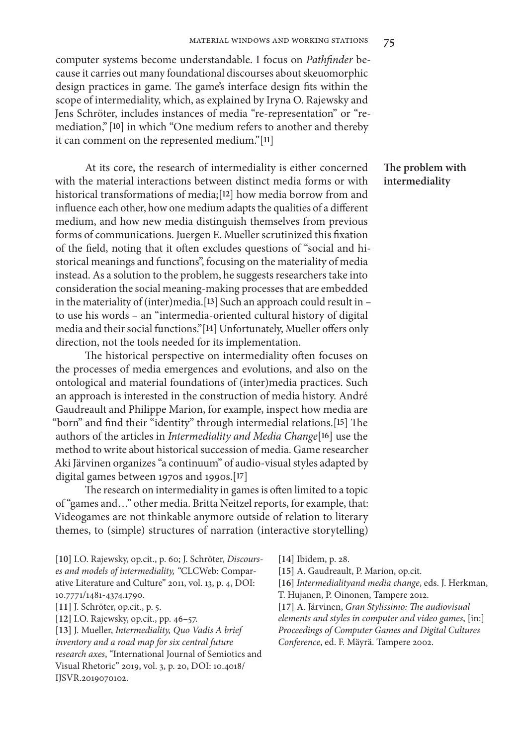computer systems become understandable. I focus on *Pathfinder* because it carries out many foundational discourses about skeuomorphic design practices in game. The game's interface design fits within the scope of intermediality, which, as explained by Iryna O. Rajewsky and Jens Schröter, includes instances of media "re-representation" or "remediation," [**10**] in which "One medium refers to another and thereby it can comment on the represented medium."[**11**]

At its core, the research of intermediality is either concerned with the material interactions between distinct media forms or with historical transformations of media;[**12**] how media borrow from and influence each other, how one medium adapts the qualities of a different medium, and how new media distinguish themselves from previous forms of communications. Juergen E. Mueller scrutinized this fixation of the field, noting that it often excludes questions of "social and historical meanings and functions", focusing on the materiality of media instead. As a solution to the problem, he suggests researchers take into consideration the social meaning-making processes that are embedded in the materiality of (inter)media.[**13**] Such an approach could result in – to use his words – an "intermedia-oriented cultural history of digital media and their social functions."[**14**] Unfortunately, Mueller offers only direction, not the tools needed for its implementation.

The historical perspective on intermediality often focuses on the processes of media emergences and evolutions, and also on the ontological and material foundations of (inter)media practices. Such an approach is interested in the construction of media history. André Gaudreault and Philippe Marion, for example, inspect how media are "born" and find their "identity" through intermedial relations.[**15**] The authors of the articles in *Intermediality and Media Change*[**16**] use the method to write about historical succession of media. Game researcher Aki Järvinen organizes "a continuum" of audio-visual styles adapted by digital games between 1970s and 1990s.[**17**]

The research on intermediality in games is often limited to a topic of "games and…" other media. Britta Neitzel reports, for example, that: Videogames are not thinkable anymore outside of relation to literary themes, to (simple) structures of narration (interactive storytelling)

**[10]** I.O. Rajewsky, op.cit., p. 60; J. Schröter, *Discourses and models of intermediality, "*CLCWeb: Comparative Literature and Culture" 2011, vol. 13, p. 4, DOI: 10.7771/1481-4374.1790.

**[11]** J. Schröter, op.cit., p. 5.

**[12]** I.O. Rajewsky, op.cit., pp. 46–57.

**[13]** J. Mueller, *Intermediality, Quo Vadis A brief inventory and a road map for six central future research axes*, "International Journal of Semiotics and Visual Rhetoric" 2019, vol. 3, p. 20, DOI: 10.4018/ IJSVR.2019070102.

**The problem with intermediality**

**[14]** Ibidem, p. 28.

**[15]** A. Gaudreault, P. Marion, op.cit.

**[16]** *Intermedialityand media change*, eds. J. Herkman, T. Hujanen, P. Oinonen, Tampere 2012.

**[17]** A. Järvinen, *Gran Stylissimo: The audiovisual elements and styles in computer and video games*, [in:] *Proceedings of Computer Games and Digital Cultures Conference*, ed. F. Mäyrä. Tampere 2002.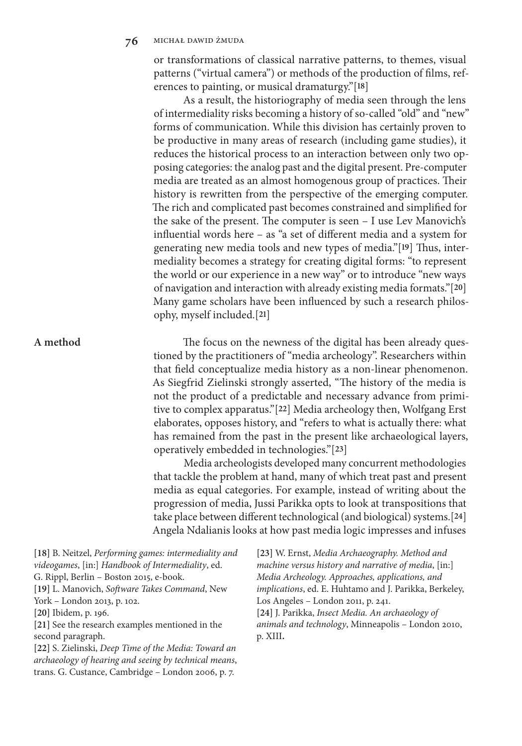or transformations of classical narrative patterns, to themes, visual patterns ("virtual camera") or methods of the production of films, references to painting, or musical dramaturgy."[**18**]

As a result, the historiography of media seen through the lens of intermediality risks becoming a history of so-called "old" and "new" forms of communication. While this division has certainly proven to be productive in many areas of research (including game studies), it reduces the historical process to an interaction between only two opposing categories: the analog past and the digital present. Pre-computer media are treated as an almost homogenous group of practices. Their history is rewritten from the perspective of the emerging computer. The rich and complicated past becomes constrained and simplified for the sake of the present. The computer is seen – I use Lev Manovich's influential words here – as "a set of different media and a system for generating new media tools and new types of media."[**19**] Thus, intermediality becomes a strategy for creating digital forms: "to represent the world or our experience in a new way" or to introduce "new ways of navigation and interaction with already existing media formats."[**20**] Many game scholars have been influenced by such a research philosophy, myself included.[**21**]

**A method**

The focus on the newness of the digital has been already questioned by the practitioners of "media archeology". Researchers within that field conceptualize media history as a non-linear phenomenon. As Siegfrid Zielinski strongly asserted, "The history of the media is not the product of a predictable and necessary advance from primitive to complex apparatus."[**22**] Media archeology then, Wolfgang Erst elaborates, opposes history, and "refers to what is actually there: what has remained from the past in the present like archaeological layers, operatively embedded in technologies."[**23**]

Media archeologists developed many concurrent methodologies that tackle the problem at hand, many of which treat past and present media as equal categories. For example, instead of writing about the progression of media, Jussi Parikka opts to look at transpositions that take place between different technological (and biological) systems.[**24**] Angela Ndalianis looks at how past media logic impresses and infuses

**[18]** B. Neitzel, *Performing games: intermediality and videogames*, [in:] *Handbook of Intermediality*, ed. G. Rippl, Berlin – Boston 2015, e-book. **[19]** L. Manovich, *Software Takes Command*, New York – London 2013, p. 102. **[20]** Ibidem, p. 196. **[21]** See the research examples mentioned in the second paragraph. **[22]** S. Zielinski, *Deep Time of the Media: Toward an archaeology of hearing and seeing by technical means*, trans. G. Custance, Cambridge – London 2006, p. 7.

**[23]** W. Ernst, *Media Archaeography. Method and machine versus history and narrative of media*, [in:] *Media Archeology. Approaches, applications, and implications*, ed. E. Huhtamo and J. Parikka, Berkeley, Los Angeles – London 2011, p. 241.

**[24]** J. Parikka, *Insect Media. An archaeology of animals and technology*, Minneapolis – London 2010, p. XIII**.**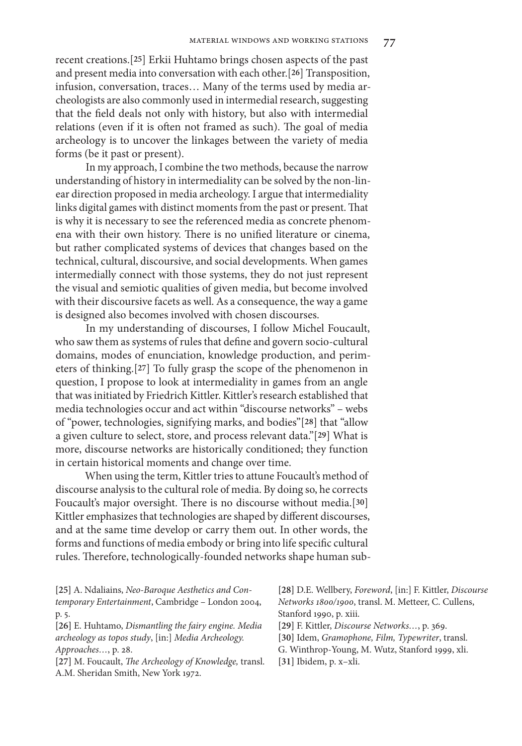recent creations.[**25**] Erkii Huhtamo brings chosen aspects of the past and present media into conversation with each other.[**26**] Transposition, infusion, conversation, traces… Many of the terms used by media archeologists are also commonly used in intermedial research, suggesting that the field deals not only with history, but also with intermedial relations (even if it is often not framed as such). The goal of media archeology is to uncover the linkages between the variety of media forms (be it past or present).

In my approach, I combine the two methods, because the narrow understanding of history in intermediality can be solved by the non-linear direction proposed in media archeology. I argue that intermediality links digital games with distinct moments from the past or present. That is why it is necessary to see the referenced media as concrete phenomena with their own history. There is no unified literature or cinema, but rather complicated systems of devices that changes based on the technical, cultural, discoursive, and social developments. When games intermedially connect with those systems, they do not just represent the visual and semiotic qualities of given media, but become involved with their discoursive facets as well. As a consequence, the way a game is designed also becomes involved with chosen discourses.

In my understanding of discourses, I follow Michel Foucault, who saw them as systems of rules that define and govern socio-cultural domains, modes of enunciation, knowledge production, and perimeters of thinking.[**27**] To fully grasp the scope of the phenomenon in question, I propose to look at intermediality in games from an angle that was initiated by Friedrich Kittler. Kittler's research established that media technologies occur and act within "discourse networks" – webs of "power, technologies, signifying marks, and bodies"[**28**] that "allow a given culture to select, store, and process relevant data."[**29**] What is more, discourse networks are historically conditioned; they function in certain historical moments and change over time.

When using the term, Kittler tries to attune Foucault's method of discourse analysis to the cultural role of media. By doing so, he corrects Foucault's major oversight. There is no discourse without media.[**30**] Kittler emphasizes that technologies are shaped by different discourses, and at the same time develop or carry them out. In other words, the forms and functions of media embody or bring into life specific cultural rules. Therefore, technologically-founded networks shape human sub-

| [25] A. Ndaliains, Neo-Baroque Aesthetics and Con-             | [28] D.E. Wellbery, Foreword, [in:] F. Kittler, Discourse |
|----------------------------------------------------------------|-----------------------------------------------------------|
| temporary Entertainment, Cambridge - London 2004,              | Networks 1800/1900, transl. M. Metteer, C. Cullens,       |
| p. 5.                                                          | Stanford 1990, p. xiii.                                   |
| [26] E. Huhtamo, Dismantling the fairy engine. Media           | [29] F. Kittler, Discourse Networks, p. 369.              |
| archeology as topos study, [in:] Media Archeology.             | [30] Idem, Gramophone, Film, Typewriter, transl.          |
| Approaches, p. 28.                                             | G. Winthrop-Young, M. Wutz, Stanford 1999, xli.           |
| [27] M. Foucault, <i>The Archeology of Knowledge</i> , transl. | [31] Ibidem, p. x-xli.                                    |
| A.M. Sheridan Smith, New York 1972.                            |                                                           |
|                                                                |                                                           |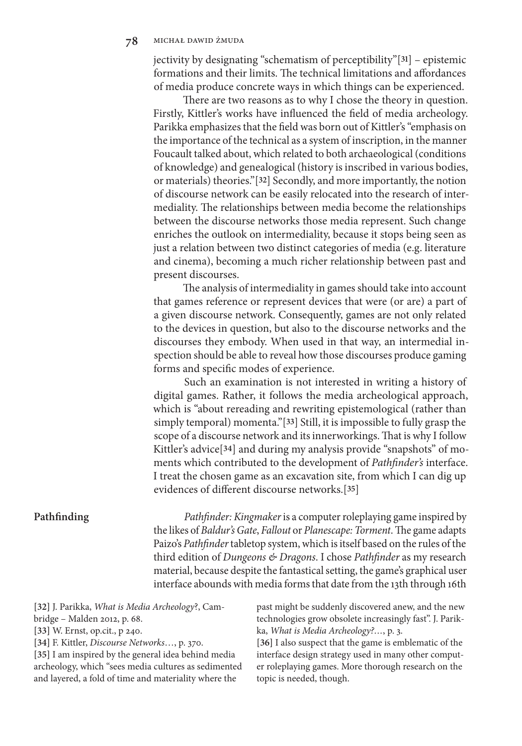jectivity by designating "schematism of perceptibility"[**31**] – epistemic formations and their limits. The technical limitations and affordances of media produce concrete ways in which things can be experienced.

There are two reasons as to why I chose the theory in question. Firstly, Kittler's works have influenced the field of media archeology. Parikka emphasizes that the field was born out of Kittler's "emphasis on the importance of the technical as a system of inscription, in the manner Foucault talked about, which related to both archaeological (conditions of knowledge) and genealogical (history is inscribed in various bodies, or materials) theories."[**32**] Secondly, and more importantly, the notion of discourse network can be easily relocated into the research of intermediality. The relationships between media become the relationships between the discourse networks those media represent. Such change enriches the outlook on intermediality, because it stops being seen as just a relation between two distinct categories of media (e.g. literature and cinema), becoming a much richer relationship between past and present discourses.

The analysis of intermediality in games should take into account that games reference or represent devices that were (or are) a part of a given discourse network. Consequently, games are not only related to the devices in question, but also to the discourse networks and the discourses they embody. When used in that way, an intermedial inspection should be able to reveal how those discourses produce gaming forms and specific modes of experience.

Such an examination is not interested in writing a history of digital games. Rather, it follows the media archeological approach, which is "about rereading and rewriting epistemological (rather than simply temporal) momenta."[**33**] Still, it is impossible to fully grasp the scope of a discourse network and its innerworkings. That is why I follow Kittler's advice[**34**] and during my analysis provide "snapshots" of moments which contributed to the development of *Pathfinder's* interface. I treat the chosen game as an excavation site, from which I can dig up evidences of different discourse networks.[**35**]

# **Pathfinding**

*Pathfinder: Kingmaker* is a computer roleplaying game inspired by the likes of *Baldur's Gate*, *Fallout* or *Planescape: Torment*. The game adapts Paizo's *Pathfinder* tabletop system, which is itself based on the rules of the third edition of *Dungeons & Dragons*. I chose *Pathfinder* as my research material, because despite the fantastical setting, the game's graphical user interface abounds with media forms that date from the 13th through 16th

**[32]** J. Parikka, *What is Media Archeology*?, Cambridge – Malden 2012, p. 68.

**[33]** W. Ernst, op.cit., p 240.

**[34]** F. Kittler, *Discourse Networks*…, p. 370.

**[35]** I am inspired by the general idea behind media archeology, which "sees media cultures as sedimented and layered, a fold of time and materiality where the

past might be suddenly discovered anew, and the new technologies grow obsolete increasingly fast". J. Parikka, *What is Media Archeology?…*, p. 3.

**[36]** I also suspect that the game is emblematic of the interface design strategy used in many other computer roleplaying games. More thorough research on the topic is needed, though.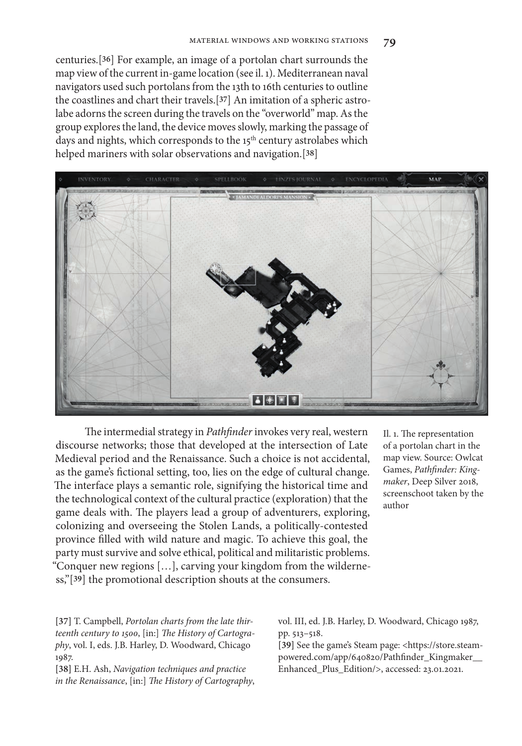centuries.[**36**] For example, an image of a portolan chart surrounds the map view of the current in-game location (see il. 1). Mediterranean naval navigators used such portolans from the 13th to 16th centuries to outline the coastlines and chart their travels.[**37**] An imitation of a spheric astrolabe adorns the screen during the travels on the "overworld" map. As the group explores the land, the device moves slowly, marking the passage of days and nights, which corresponds to the 15<sup>th</sup> century astrolabes which helped mariners with solar observations and navigation.[**38**]



The intermedial strategy in *Pathfinder* invokes very real, western discourse networks; those that developed at the intersection of Late Medieval period and the Renaissance. Such a choice is not accidental, as the game's fictional setting, too, lies on the edge of cultural change. The interface plays a semantic role, signifying the historical time and the technological context of the cultural practice (exploration) that the game deals with. The players lead a group of adventurers, exploring, colonizing and overseeing the Stolen Lands, a politically-contested province filled with wild nature and magic. To achieve this goal, the party must survive and solve ethical, political and militaristic problems. "Conquer new regions […], carving your kingdom from the wilderness,"[**39**] the promotional description shouts at the consumers.

Il. 1. The representation of a portolan chart in the map view. Source: Owlcat Games, *Pathfinder: Kingmaker*, Deep Silver 2018, screenschoot taken by the author

**[37]** T. Campbell, *Portolan charts from the late thirteenth century to 1500*, [in:] *The History of Cartography*, vol. I, eds. J.B. Harley, D. Woodward, Chicago 1987.

**[38]** E.H. Ash, *Navigation techniques and practice in the Renaissance*, [in:] *The History of Cartography*, vol. III, ed. J.B. Harley, D. Woodward, Chicago 1987, pp. 513–518.

**[39]** See the game's Steam page: <https://store.steampowered.com/app/640820/Pathfinder\_Kingmaker\_\_ Enhanced\_Plus\_Edition/>, accessed: 23.01.2021.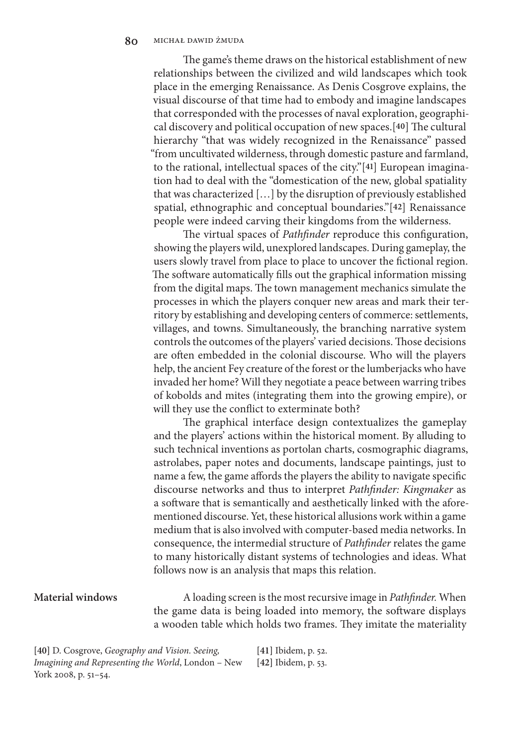The game's theme draws on the historical establishment of new relationships between the civilized and wild landscapes which took place in the emerging Renaissance. As Denis Cosgrove explains, the visual discourse of that time had to embody and imagine landscapes that corresponded with the processes of naval exploration, geographical discovery and political occupation of new spaces.[**40**] The cultural hierarchy "that was widely recognized in the Renaissance" passed "from uncultivated wilderness, through domestic pasture and farmland, to the rational, intellectual spaces of the city."[**41**] European imagination had to deal with the "domestication of the new, global spatiality that was characterized […] by the disruption of previously established spatial, ethnographic and conceptual boundaries."[**42**] Renaissance people were indeed carving their kingdoms from the wilderness.

The virtual spaces of *Pathfinder* reproduce this configuration, showing the players wild, unexplored landscapes. During gameplay, the users slowly travel from place to place to uncover the fictional region. The software automatically fills out the graphical information missing from the digital maps. The town management mechanics simulate the processes in which the players conquer new areas and mark their territory by establishing and developing centers of commerce: settlements, villages, and towns. Simultaneously, the branching narrative system controls the outcomes of the players' varied decisions. Those decisions are often embedded in the colonial discourse. Who will the players help, the ancient Fey creature of the forest or the lumberjacks who have invaded her home? Will they negotiate a peace between warring tribes of kobolds and mites (integrating them into the growing empire), or will they use the conflict to exterminate both?

The graphical interface design contextualizes the gameplay and the players' actions within the historical moment. By alluding to such technical inventions as portolan charts, cosmographic diagrams, astrolabes, paper notes and documents, landscape paintings, just to name a few, the game affords the players the ability to navigate specific discourse networks and thus to interpret *Pathfinder: Kingmaker* as a software that is semantically and aesthetically linked with the aforementioned discourse. Yet, these historical allusions work within a game medium that is also involved with computer-based media networks. In consequence, the intermedial structure of *Pathfinder* relates the game to many historically distant systems of technologies and ideas. What follows now is an analysis that maps this relation.

### **Material windows**

A loading screen is the most recursive image in *Pathfinder.* When the game data is being loaded into memory, the software displays a wooden table which holds two frames. They imitate the materiality

**[40]** D. Cosgrove, *Geography and Vision. Seeing, Imagining and Representing the World*, London – New York 2008, p. 51–54. **[41]** Ibidem, p. 52. **[42]** Ibidem, p. 53.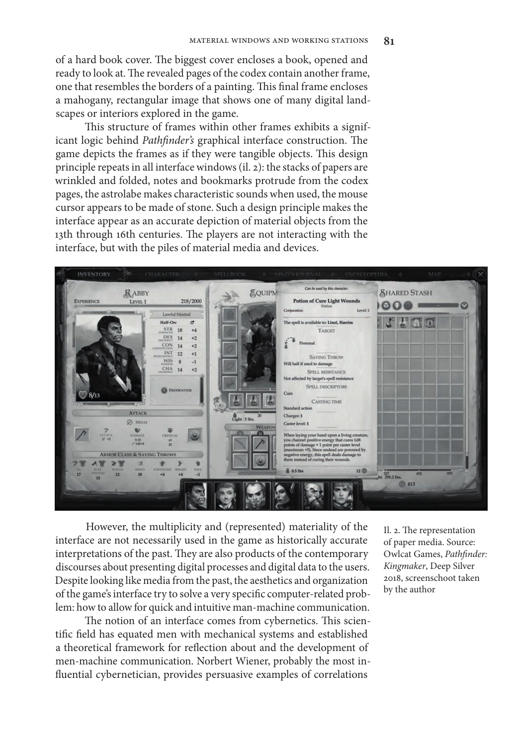of a hard book cover. The biggest cover encloses a book, opened and ready to look at. The revealed pages of the codex contain another frame, one that resembles the borders of a painting. This final frame encloses a mahogany, rectangular image that shows one of many digital landscapes or interiors explored in the game.

This structure of frames within other frames exhibits a significant logic behind *Pathfinder's* graphical interface construction. The game depicts the frames as if they were tangible objects. This design principle repeats in all interface windows (il. 2): the stacks of papers are wrinkled and folded, notes and bookmarks protrude from the codex pages, the astrolabe makes characteristic sounds when used, the mouse cursor appears to be made of stone. Such a design principle makes the interface appear as an accurate depiction of material objects from the 13th through 16th centuries. The players are not interacting with the interface, but with the piles of material media and devices.



However, the multiplicity and (represented) materiality of the interface are not necessarily used in the game as historically accurate interpretations of the past. They are also products of the contemporary discourses about presenting digital processes and digital data to the users. Despite looking like media from the past, the aesthetics and organization of the game's interface try to solve a very specific computer-related problem: how to allow for quick and intuitive man-machine communication.

The notion of an interface comes from cybernetics. This scientific field has equated men with mechanical systems and established a theoretical framework for reflection about and the development of men-machine communication. Norbert Wiener, probably the most influential cybernetician, provides persuasive examples of correlations

Il. 2. The representation of paper media. Source: Owlcat Games, *Pathfinder: Kingmaker*, Deep Silver 2018, screenschoot taken by the author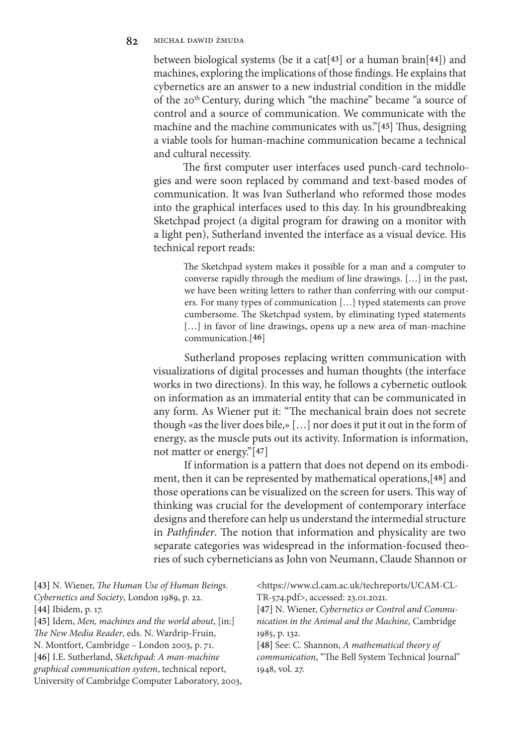between biological systems (be it a cat[**43**] or a human brain[**44**]) and machines, exploring the implications of those findings. He explains that cybernetics are an answer to a new industrial condition in the middle of the 20<sup>th</sup> Century, during which "the machine" became "a source of control and a source of communication. We communicate with the machine and the machine communicates with us."[**45**] Thus, designing a viable tools for human-machine communication became a technical and cultural necessity.

The first computer user interfaces used punch-card technologies and were soon replaced by command and text-based modes of communication. It was Ivan Sutherland who reformed those modes into the graphical interfaces used to this day. In his groundbreaking Sketchpad project (a digital program for drawing on a monitor with a light pen), Sutherland invented the interface as a visual device. His technical report reads:

The Sketchpad system makes it possible for a man and a computer to converse rapidly through the medium of line drawings. […] in the past, we have been writing letters to rather than conferring with our computers. For many types of communication […] typed statements can prove cumbersome. The Sketchpad system, by eliminating typed statements [...] in favor of line drawings, opens up a new area of man-machine communication.[**46**]

Sutherland proposes replacing written communication with visualizations of digital processes and human thoughts (the interface works in two directions). In this way, he follows a cybernetic outlook on information as an immaterial entity that can be communicated in any form. As Wiener put it: "The mechanical brain does not secrete though «as the liver does bile,» […] nor does it put it out in the form of energy, as the muscle puts out its activity. Information is information, not matter or energy."[**47**]

If information is a pattern that does not depend on its embodiment, then it can be represented by mathematical operations,[**48**] and those operations can be visualized on the screen for users. This way of thinking was crucial for the development of contemporary interface designs and therefore can help us understand the intermedial structure in *Pathfinder*. The notion that information and physicality are two separate categories was widespread in the information-focused theories of such cyberneticians as John von Neumann, Claude Shannon or

| Cybernetics and Society, London 1989, p. 22.<br>TR-574.pdf>, accessed: 23.01.2021.<br>[44] Ibidem, p. 17.<br>[45] Idem, Men, machines and the world about, [in:]<br>The New Media Reader, eds. N. Wardrip-Fruin,<br>1985, p. 132.<br>N. Montfort, Cambridge - London 2003, p. 71.<br>[46] I.E. Sutherland, Sketchpad: A man-machine<br>graphical communication system, technical report,<br>1948, vol. 27. | [47] N. Wiener, Cybernetics or Control and Commu-<br>nication in the Animal and the Machine, Cambridge<br>[48] See: C. Shannon, A mathematical theory of<br>communication, "The Bell System Technical Journal" |
|------------------------------------------------------------------------------------------------------------------------------------------------------------------------------------------------------------------------------------------------------------------------------------------------------------------------------------------------------------------------------------------------------------|----------------------------------------------------------------------------------------------------------------------------------------------------------------------------------------------------------------|
| University of Cambridge Computer Laboratory, 2003,                                                                                                                                                                                                                                                                                                                                                         |                                                                                                                                                                                                                |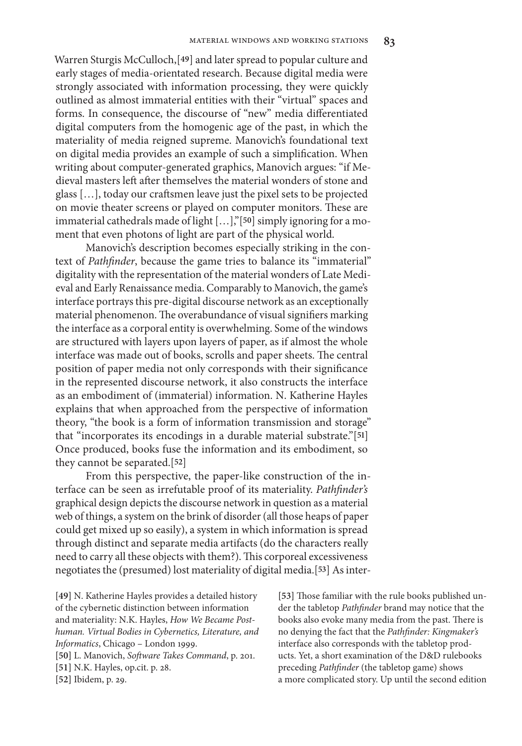Warren Sturgis McCulloch,[**49**] and later spread to popular culture and early stages of media-orientated research. Because digital media were strongly associated with information processing, they were quickly outlined as almost immaterial entities with their "virtual" spaces and forms. In consequence, the discourse of "new" media differentiated digital computers from the homogenic age of the past, in which the materiality of media reigned supreme. Manovich's foundational text on digital media provides an example of such a simplification. When writing about computer-generated graphics, Manovich argues: "if Medieval masters left after themselves the material wonders of stone and glass […], today our craftsmen leave just the pixel sets to be projected on movie theater screens or played on computer monitors. These are immaterial cathedrals made of light […],"[**50**] simply ignoring for a moment that even photons of light are part of the physical world.

Manovich's description becomes especially striking in the context of *Pathfinder*, because the game tries to balance its "immaterial" digitality with the representation of the material wonders of Late Medieval and Early Renaissance media. Comparably to Manovich, the game's interface portrays this pre-digital discourse network as an exceptionally material phenomenon. The overabundance of visual signifiers marking the interface as a corporal entity is overwhelming. Some of the windows are structured with layers upon layers of paper, as if almost the whole interface was made out of books, scrolls and paper sheets. The central position of paper media not only corresponds with their significance in the represented discourse network, it also constructs the interface as an embodiment of (immaterial) information. N. Katherine Hayles explains that when approached from the perspective of information theory, "the book is a form of information transmission and storage" that "incorporates its encodings in a durable material substrate."[**51**] Once produced, books fuse the information and its embodiment, so they cannot be separated.[**52**]

From this perspective, the paper-like construction of the interface can be seen as irrefutable proof of its materiality. *Pathfinder's* graphical design depicts the discourse network in question as a material web of things, a system on the brink of disorder (all those heaps of paper could get mixed up so easily), a system in which information is spread through distinct and separate media artifacts (do the characters really need to carry all these objects with them?). This corporeal excessiveness negotiates the (presumed) lost materiality of digital media.[**53**] As inter-

**[49]** N. Katherine Hayles provides a detailed history of the cybernetic distinction between information and materiality: N.K. Hayles, *How We Became Posthuman. Virtual Bodies in Cybernetics, Literature, and Informatics*, Chicago – London 1999. **[50]** L. Manovich, *Software Takes Command*, p. 201. **[51]** N.K. Hayles, op.cit. p. 28.

**[52]** Ibidem, p. 29.

**[53]** Those familiar with the rule books published under the tabletop *Pathfinder* brand may notice that the books also evoke many media from the past. There is no denying the fact that the *Pathfinder: Kingmaker's* interface also corresponds with the tabletop products. Yet, a short examination of the D&D rulebooks preceding *Pathfinder* (the tabletop game) shows a more complicated story. Up until the second edition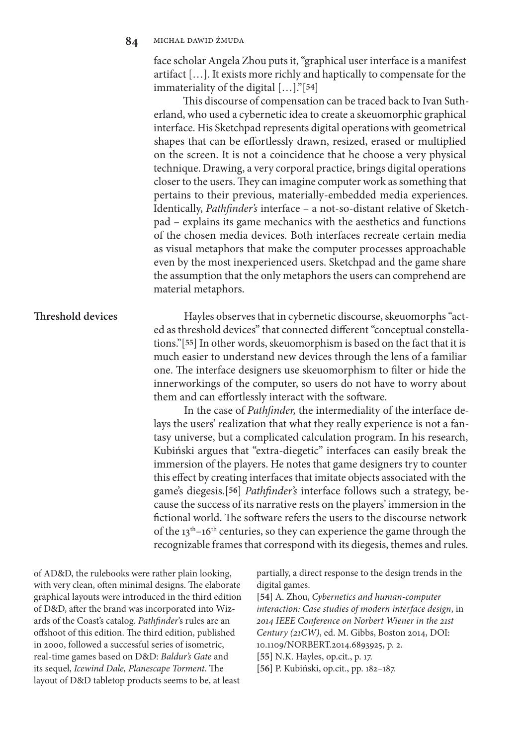face scholar Angela Zhou puts it, "graphical user interface is a manifest artifact […]. It exists more richly and haptically to compensate for the immateriality of the digital […]."[**54**]

This discourse of compensation can be traced back to Ivan Sutherland, who used a cybernetic idea to create a skeuomorphic graphical interface. His Sketchpad represents digital operations with geometrical shapes that can be effortlessly drawn, resized, erased or multiplied on the screen. It is not a coincidence that he choose a very physical technique. Drawing, a very corporal practice, brings digital operations closer to the users. They can imagine computer work as something that pertains to their previous, materially-embedded media experiences. Identically, *Pathfinder's* interface – a not-so-distant relative of Sketchpad – explains its game mechanics with the aesthetics and functions of the chosen media devices. Both interfaces recreate certain media as visual metaphors that make the computer processes approachable even by the most inexperienced users. Sketchpad and the game share the assumption that the only metaphors the users can comprehend are material metaphors.

# Hayles observes that in cybernetic discourse, skeuomorphs "acted as threshold devices" that connected different "conceptual constellations."[**55**] In other words, skeuomorphism is based on the fact that it is much easier to understand new devices through the lens of a familiar one. The interface designers use skeuomorphism to filter or hide the innerworkings of the computer, so users do not have to worry about them and can effortlessly interact with the software.

In the case of *Pathfinder,* the intermediality of the interface delays the users' realization that what they really experience is not a fantasy universe, but a complicated calculation program. In his research, Kubiński argues that "extra-diegetic" interfaces can easily break the immersion of the players. He notes that game designers try to counter this effect by creating interfaces that imitate objects associated with the game's diegesis.[**56**] *Pathfinder's* interface follows such a strategy, because the success of its narrative rests on the players' immersion in the fictional world. The software refers the users to the discourse network of the  $13<sup>th</sup>-16<sup>th</sup>$  centuries, so they can experience the game through the recognizable frames that correspond with its diegesis, themes and rules.

of AD&D, the rulebooks were rather plain looking, with very clean, often minimal designs. The elaborate graphical layouts were introduced in the third edition of D&D, after the brand was incorporated into Wizards of the Coast's catalog. *Pathfinder*'s rules are an offshoot of this edition. The third edition, published in 2000, followed a successful series of isometric, real-time games based on D&D: *Baldur's Gate* and its sequel, *Icewind Dale, Planescape Torment*. The layout of D&D tabletop products seems to be, at least

partially, a direct response to the design trends in the digital games.

**[54]** A. Zhou, *Cybernetics and human-computer interaction: Case studies of modern interface design*, in *2014 IEEE Conference on Norbert Wiener in the 21st Century (21CW)*, ed. M. Gibbs, Boston 2014, DOI: 10.1109/NORBERT.2014.6893925, p. 2.

**[55]** N.K. Hayles, op.cit., p. 17.

**[56]** P. Kubiński, op.cit., pp. 182–187.

# **Threshold devices**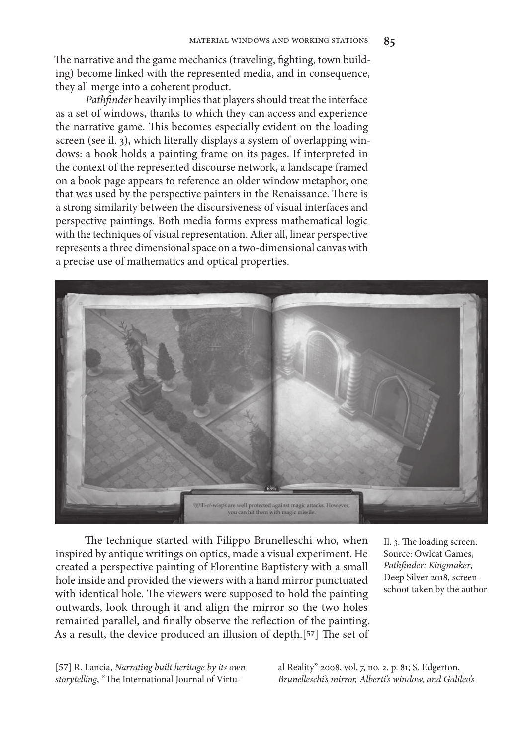The narrative and the game mechanics (traveling, fighting, town building) become linked with the represented media, and in consequence, they all merge into a coherent product.

*Pathfinder* heavily implies that players should treat the interface as a set of windows, thanks to which they can access and experience the narrative game. This becomes especially evident on the loading screen (see il. 3), which literally displays a system of overlapping windows: a book holds a painting frame on its pages. If interpreted in the context of the represented discourse network, a landscape framed on a book page appears to reference an older window metaphor, one that was used by the perspective painters in the Renaissance. There is a strong similarity between the discursiveness of visual interfaces and perspective paintings. Both media forms express mathematical logic with the techniques of visual representation. After all, linear perspective represents a three dimensional space on a two-dimensional canvas with a precise use of mathematics and optical properties.



The technique started with Filippo Brunelleschi who, when inspired by antique writings on optics, made a visual experiment. He created a perspective painting of Florentine Baptistery with a small hole inside and provided the viewers with a hand mirror punctuated with identical hole. The viewers were supposed to hold the painting outwards, look through it and align the mirror so the two holes remained parallel, and finally observe the reflection of the painting. As a result, the device produced an illusion of depth.[**57**] The set of Il. 3. The loading screen. Source: Owlcat Games, *Pathfinder: Kingmaker*, Deep Silver 2018, screenschoot taken by the author

**[57]** R. Lancia, *Narrating built heritage by its own storytelling*, "The International Journal of Virtu-

al Reality" 2008, vol. 7, no. 2, p. 81; S. Edgerton, *Brunelleschi's mirror, Alberti's window, and Galileo's*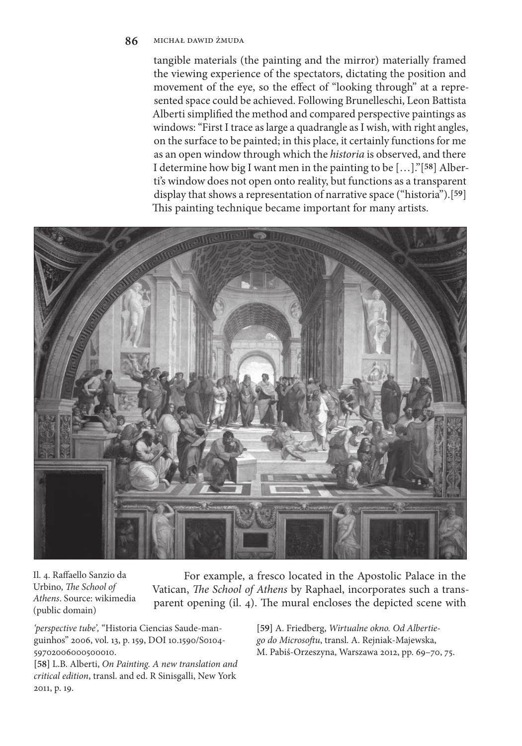tangible materials (the painting and the mirror) materially framed the viewing experience of the spectators, dictating the position and movement of the eye, so the effect of "looking through" at a represented space could be achieved. Following Brunelleschi, Leon Battista Alberti simplified the method and compared perspective paintings as windows: "First I trace as large a quadrangle as I wish, with right angles, on the surface to be painted; in this place, it certainly functions for me as an open window through which the *historia* is observed, and there I determine how big I want men in the painting to be […]."[**58**] Alberti's window does not open onto reality, but functions as a transparent display that shows a representation of narrative space ("historia").[**59**] This painting technique became important for many artists.



Il. 4. Raffaello Sanzio da Urbino, *The School of Athens*. Source: wikimedia (public domain)

For example, a fresco located in the Apostolic Palace in the Vatican, *The School of Athens* by Raphael, incorporates such a transparent opening (il. 4). The mural encloses the depicted scene with

*'perspective tube',* "Historia Ciencias Saude-manguinhos" 2006, vol. 13, p. 159, DOI 10.1590/S0104- 59702006000500010.

**[58]** L.B. Alberti, *On Painting. A new translation and critical edition*, transl. and ed. R Sinisgalli, New York 2011, p. 19.

**[59]** A. Friedberg, *Wirtualne okno. Od Albertiego do Microsoftu*, transl. A. Rejniak-Majewska, M. Pabiś-Orzeszyna, Warszawa 2012, pp. 69–70, 75.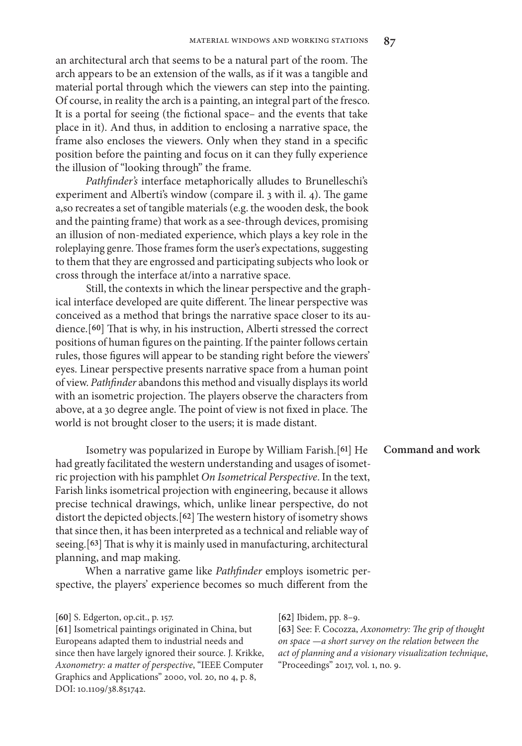an architectural arch that seems to be a natural part of the room. The arch appears to be an extension of the walls, as if it was a tangible and material portal through which the viewers can step into the painting. Of course, in reality the arch is a painting, an integral part of the fresco. It is a portal for seeing (the fictional space– and the events that take place in it). And thus, in addition to enclosing a narrative space, the frame also encloses the viewers. Only when they stand in a specific position before the painting and focus on it can they fully experience the illusion of "looking through" the frame.

*Pathfinder's* interface metaphorically alludes to Brunelleschi's experiment and Alberti's window (compare il. 3 with il. 4). The game a,so recreates a set of tangible materials (e.g. the wooden desk, the book and the painting frame) that work as a see-through devices, promising an illusion of non-mediated experience, which plays a key role in the roleplaying genre. Those frames form the user's expectations, suggesting to them that they are engrossed and participating subjects who look or cross through the interface at/into a narrative space.

Still, the contexts in which the linear perspective and the graphical interface developed are quite different. The linear perspective was conceived as a method that brings the narrative space closer to its audience.[**60**] That is why, in his instruction, Alberti stressed the correct positions of human figures on the painting. If the painter follows certain rules, those figures will appear to be standing right before the viewers' eyes. Linear perspective presents narrative space from a human point of view. *Pathfinder* abandons this method and visually displays its world with an isometric projection. The players observe the characters from above, at a 30 degree angle. The point of view is not fixed in place. The world is not brought closer to the users; it is made distant.

Isometry was popularized in Europe by William Farish.[**61**] He had greatly facilitated the western understanding and usages of isometric projection with his pamphlet *On Isometrical Perspective*. In the text, Farish links isometrical projection with engineering, because it allows precise technical drawings, which, unlike linear perspective, do not distort the depicted objects.[**62**] The western history of isometry shows that since then, it has been interpreted as a technical and reliable way of seeing.[**63**] That is why it is mainly used in manufacturing, architectural planning, and map making.

When a narrative game like *Pathfinder* employs isometric perspective, the players' experience becomes so much different from the

**[61]** Isometrical paintings originated in China, but Europeans adapted them to industrial needs and since then have largely ignored their source. J. Krikke, *Axonometry: a matter of perspective*, "IEEE Computer Graphics and Applications" 2000, vol. 20, no 4, p. 8, DOI: 10.1109/38.851742.

**[62]** Ibidem, pp. 8–9.

**[63]** See: F. Cocozza, *Axonometry: The grip of thought on space —a short survey on the relation between the act of planning and a visionary visualization technique*, "Proceedings" 2017, vol. 1, no. 9.

**Command and work**

**<sup>[60]</sup>** S. Edgerton, op.cit., p. 157.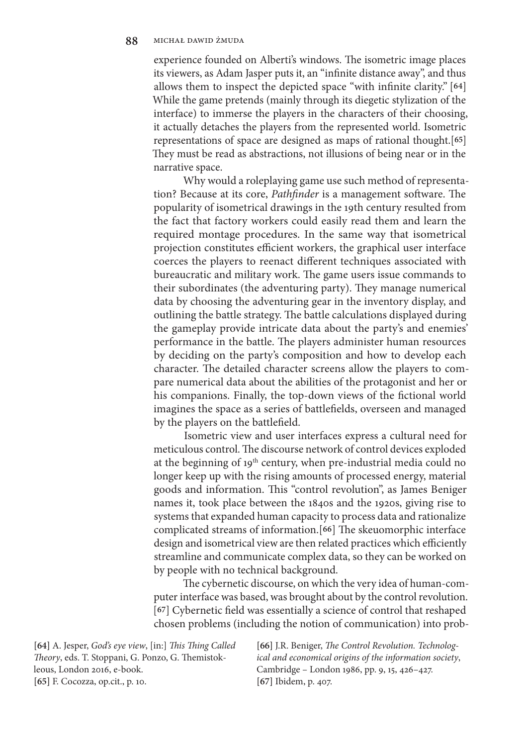experience founded on Alberti's windows. The isometric image places its viewers, as Adam Jasper puts it, an "infinite distance away", and thus allows them to inspect the depicted space "with infinite clarity." [**64**] While the game pretends (mainly through its diegetic stylization of the interface) to immerse the players in the characters of their choosing, it actually detaches the players from the represented world. Isometric representations of space are designed as maps of rational thought.[**65**] They must be read as abstractions, not illusions of being near or in the narrative space.

Why would a roleplaying game use such method of representation? Because at its core, *Pathfinder* is a management software. The popularity of isometrical drawings in the 19th century resulted from the fact that factory workers could easily read them and learn the required montage procedures. In the same way that isometrical projection constitutes efficient workers, the graphical user interface coerces the players to reenact different techniques associated with bureaucratic and military work. The game users issue commands to their subordinates (the adventuring party). They manage numerical data by choosing the adventuring gear in the inventory display, and outlining the battle strategy. The battle calculations displayed during the gameplay provide intricate data about the party's and enemies' performance in the battle. The players administer human resources by deciding on the party's composition and how to develop each character. The detailed character screens allow the players to compare numerical data about the abilities of the protagonist and her or his companions. Finally, the top-down views of the fictional world imagines the space as a series of battlefields, overseen and managed by the players on the battlefield.

Isometric view and user interfaces express a cultural need for meticulous control. The discourse network of control devices exploded at the beginning of 19<sup>th</sup> century, when pre-industrial media could no longer keep up with the rising amounts of processed energy, material goods and information. This "control revolution", as James Beniger names it, took place between the 1840s and the 1920s, giving rise to systems that expanded human capacity to process data and rationalize complicated streams of information.[**66**] The skeuomorphic interface design and isometrical view are then related practices which efficiently streamline and communicate complex data, so they can be worked on by people with no technical background.

The cybernetic discourse, on which the very idea of human-computer interface was based, was brought about by the control revolution. [**67**] Cybernetic field was essentially a science of control that reshaped chosen problems (including the notion of communication) into prob-

**[64]** A. Jesper, *God's eye view*, [in:] *This Thing Called Theory*, eds. T. Stoppani, G. Ponzo, G. Themistokleous, London 2016, e-book. **[65]** F. Cocozza, op.cit., p. 10.

**[66]** J.R. Beniger, *The Control Revolution. Technological and economical origins of the information society*, Cambridge – London 1986, pp. 9, 15, 426–427. **[67]** Ibidem, p. 407.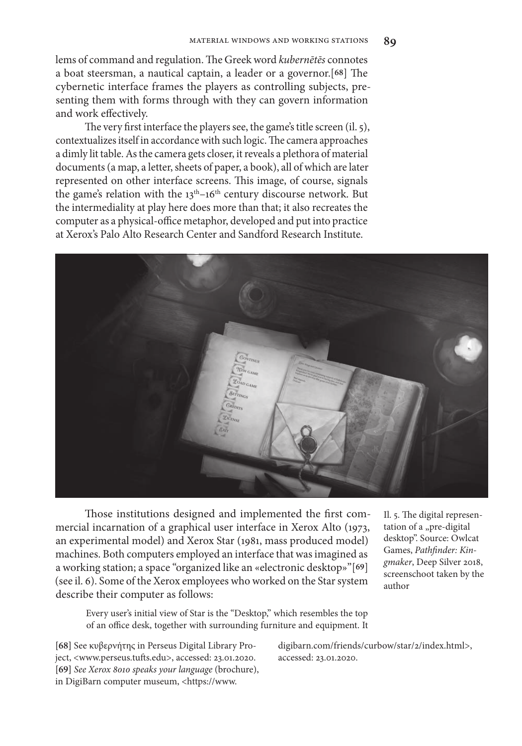lems of command and regulation. The Greek word *kubernētēs* connotes a boat steersman, a nautical captain, a leader or a governor.[**68**] The cybernetic interface frames the players as controlling subjects, presenting them with forms through with they can govern information and work effectively.

The very first interface the players see, the game's title screen (il. 5), contextualizes itself in accordance with such logic. The camera approaches a dimly lit table. As the camera gets closer, it reveals a plethora of material documents (a map, a letter, sheets of paper, a book), all of which are later represented on other interface screens. This image, of course, signals the game's relation with the  $13<sup>th</sup>-16<sup>th</sup>$  century discourse network. But the intermediality at play here does more than that; it also recreates the computer as a physical-office metaphor, developed and put into practice at Xerox's Palo Alto Research Center and Sandford Research Institute.



Those institutions designed and implemented the first commercial incarnation of a graphical user interface in Xerox Alto (1973, an experimental model) and Xerox Star (1981, mass produced model) machines. Both computers employed an interface that was imagined as a working station; a space "organized like an «electronic desktop»"[**69**] (see il. 6). Some of the Xerox employees who worked on the Star system describe their computer as follows:

Il. 5. The digital representation of a "pre-digital desktop". Source: Owlcat Games, *Pathfinder: Kingmaker*, Deep Silver 2018, screenschoot taken by the author

Every user's initial view of Star is the "Desktop," which resembles the top of an office desk, together with surrounding furniture and equipment. It

**[68]** See κυβερνήτης in Perseus Digital Library Project, <www.perseus.tufts.edu>, accessed: 23.01.2020. **[69]** *See Xerox 8010 speaks your language* (brochure), in DigiBarn computer museum, <https://www.

digibarn.com/friends/curbow/star/2/index.html>, accessed: 23.01.2020.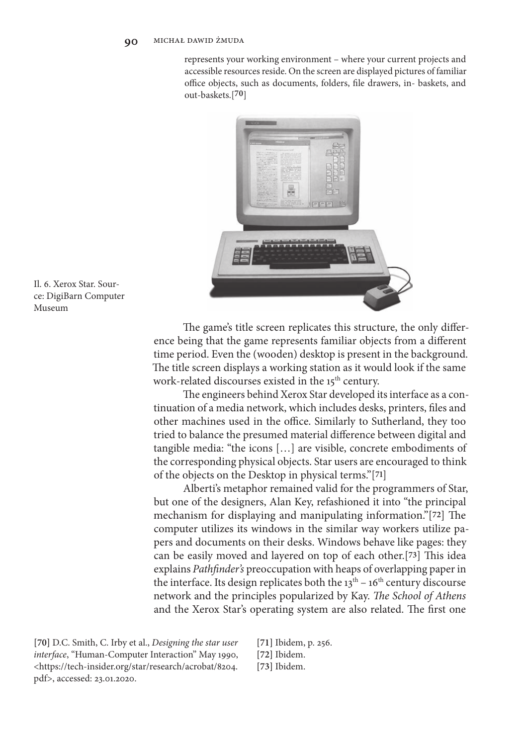represents your working environment – where your current projects and accessible resources reside. On the screen are displayed pictures of familiar office objects, such as documents, folders, file drawers, in- baskets, and out-baskets.[**70**]



Il. 6. Xerox Star. Source: DigiBarn Computer Museum

> The game's title screen replicates this structure, the only difference being that the game represents familiar objects from a different time period. Even the (wooden) desktop is present in the background. The title screen displays a working station as it would look if the same work-related discourses existed in the 15<sup>th</sup> century.

> The engineers behind Xerox Star developed its interface as a continuation of a media network, which includes desks, printers, files and other machines used in the office. Similarly to Sutherland, they too tried to balance the presumed material difference between digital and tangible media: "the icons […] are visible, concrete embodiments of the corresponding physical objects. Star users are encouraged to think of the objects on the Desktop in physical terms."[**71**]

> Alberti's metaphor remained valid for the programmers of Star, but one of the designers, Alan Key, refashioned it into "the principal mechanism for displaying and manipulating information."[**72**] The computer utilizes its windows in the similar way workers utilize papers and documents on their desks. Windows behave like pages: they can be easily moved and layered on top of each other.[**73**] This idea explains *Pathfinder's* preoccupation with heaps of overlapping paper in the interface. Its design replicates both the  $13<sup>th</sup> - 16<sup>th</sup>$  century discourse network and the principles popularized by Kay. *The School of Athens* and the Xerox Star's operating system are also related. The first one

**[70]** D.C. Smith, C. Irby et al., *Designing the star user interface*, "Human-Computer Interaction" May 1990, <https://tech-insider.org/star/research/acrobat/8204. pdf>, accessed: 23.01.2020.

**[71]** Ibidem, p. 256.

**[72]** Ibidem.

**[73]** Ibidem.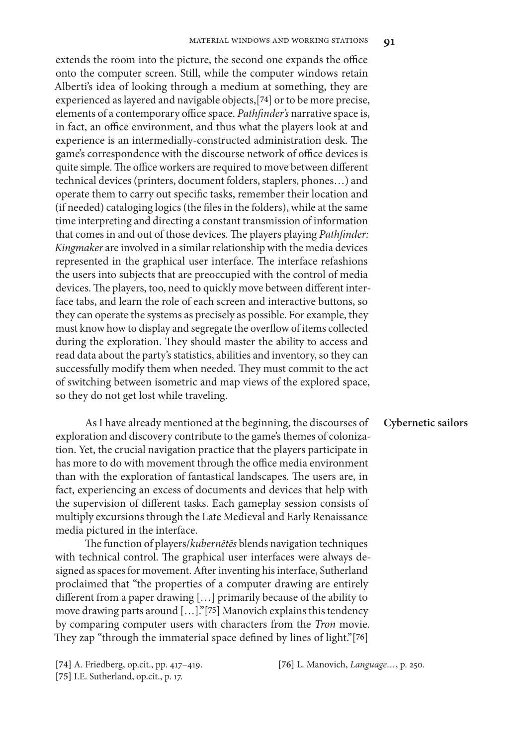extends the room into the picture, the second one expands the office onto the computer screen. Still, while the computer windows retain Alberti's idea of looking through a medium at something, they are experienced as layered and navigable objects,[**74**] or to be more precise, elements of a contemporary office space. *Pathfinder's* narrative space is, in fact, an office environment, and thus what the players look at and experience is an intermedially-constructed administration desk. The game's correspondence with the discourse network of office devices is quite simple. The office workers are required to move between different technical devices (printers, document folders, staplers, phones…) and operate them to carry out specific tasks, remember their location and (if needed) cataloging logics (the files in the folders), while at the same time interpreting and directing a constant transmission of information that comes in and out of those devices. The players playing *Pathfinder: Kingmaker* are involved in a similar relationship with the media devices represented in the graphical user interface. The interface refashions the users into subjects that are preoccupied with the control of media devices. The players, too, need to quickly move between different interface tabs, and learn the role of each screen and interactive buttons, so they can operate the systems as precisely as possible. For example, they must know how to display and segregate the overflow of items collected during the exploration. They should master the ability to access and read data about the party's statistics, abilities and inventory, so they can successfully modify them when needed. They must commit to the act of switching between isometric and map views of the explored space, so they do not get lost while traveling.

### **Cybernetic sailors**

As I have already mentioned at the beginning, the discourses of exploration and discovery contribute to the game's themes of colonization. Yet, the crucial navigation practice that the players participate in has more to do with movement through the office media environment than with the exploration of fantastical landscapes. The users are, in fact, experiencing an excess of documents and devices that help with the supervision of different tasks. Each gameplay session consists of multiply excursions through the Late Medieval and Early Renaissance media pictured in the interface.

The function of players/*kubernētēs* blends navigation techniques with technical control. The graphical user interfaces were always designed as spaces for movement. After inventing his interface, Sutherland proclaimed that "the properties of a computer drawing are entirely different from a paper drawing […] primarily because of the ability to move drawing parts around […]."[**75**] Manovich explains this tendency by comparing computer users with characters from the *Tron* movie. They zap "through the immaterial space defined by lines of light."[**76**]

**[76]** L. Manovich, *Language…*, p. 250.

**<sup>[74]</sup>** A. Friedberg, op.cit., pp. 417–419. **[75]** I.E. Sutherland, op.cit., p. 17.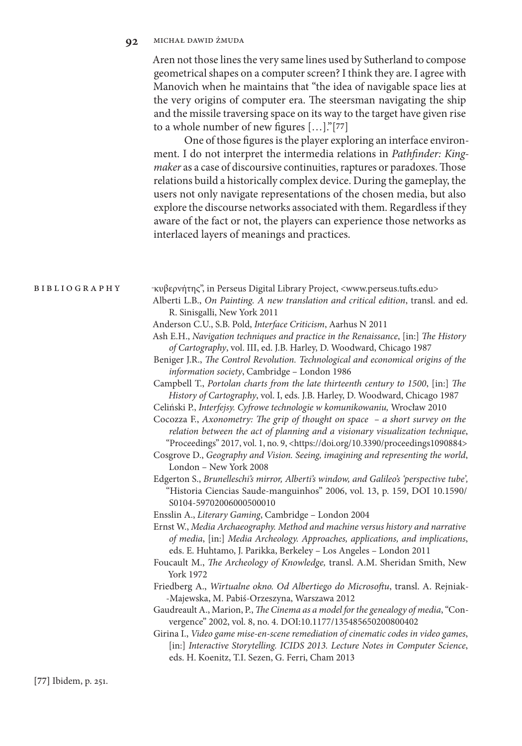Aren not those lines the very same lines used by Sutherland to compose geometrical shapes on a computer screen? I think they are. I agree with Manovich when he maintains that "the idea of navigable space lies at the very origins of computer era. The steersman navigating the ship and the missile traversing space on its way to the target have given rise to a whole number of new figures […]."[**77**]

One of those figures is the player exploring an interface environment. I do not interpret the intermedia relations in *Pathfinder: Kingmaker* as a case of discoursive continuities, raptures or paradoxes. Those relations build a historically complex device. During the gameplay, the users not only navigate representations of the chosen media, but also explore the discourse networks associated with them. Regardless if they aware of the fact or not, the players can experience those networks as interlaced layers of meanings and practices.

| <b>BIBLIOGRAPHY</b> |
|---------------------|
|---------------------|

" κυβερνήτης", in Perseus Digital Library Project, <www.perseus.tufts.edu> Alberti L.B., *On Painting. A new translation and critical edition*, transl. and ed. R. Sinisgalli, New York 2011

- Anderson C.U., S.B. Pold, *Interface Criticism*, Aarhus N 2011
- Ash E.H., *Navigation techniques and practice in the Renaissance*, [in:] *The History of Cartography*, vol. III, ed. J.B. Harley, D. Woodward, Chicago 1987
- Beniger J.R., *The Control Revolution. Technological and economical origins of the information society*, Cambridge – London 1986

Campbell T., *Portolan charts from the late thirteenth century to 1500*, [in:] *The History of Cartography*, vol. I, eds. J.B. Harley, D. Woodward, Chicago 1987

Celiński P., *Interfejsy. Cyfrowe technologie w komunikowaniu,* Wrocław 2010

Cocozza F., *Axonometry: The grip of thought on space – a short survey on the relation between the act of planning and a visionary visualization technique*, "Proceedings" 2017, vol. 1, no. 9, <https://doi.org/10.3390/proceedings1090884>

Cosgrove D., *Geography and Vision. Seeing, imagining and representing the world*, London – New York 2008

- Edgerton S., *Brunelleschi's mirror, Alberti's window, and Galileo's 'perspective tube',* "Historia Ciencias Saude-manguinhos" 2006, vol. 13, p. 159, DOI 10.1590/ S0104-59702006000500010
- Ensslin A., *Literary Gaming*, Cambridge London 2004
- Ernst W., *Media Archaeography. Method and machine versus history and narrative of media*, [in:] *Media Archeology. Approaches, applications, and implications*, eds. E. Huhtamo, J. Parikka, Berkeley – Los Angeles – London 2011
- Foucault M., *The Archeology of Knowledge,* transl. A.M. Sheridan Smith, New York 1972
- Friedberg A., *Wirtualne okno. Od Albertiego do Microsoftu*, transl. A. Rejniak- -Majewska, M. Pabiś-Orzeszyna, Warszawa 2012
- Gaudreault A., Marion, P., *The Cinema as a model for the genealogy of media*, "Convergence" 2002, vol. 8, no. 4. DOI:10.1177/135485650200800402
- Girina I., *Video game mise-en-scene remediation of cinematic codes in video games*, [in:] *Interactive Storytelling. ICIDS 2013. Lecture Notes in Computer Science*, eds. H. Koenitz, T.I. Sezen, G. Ferri, Cham 2013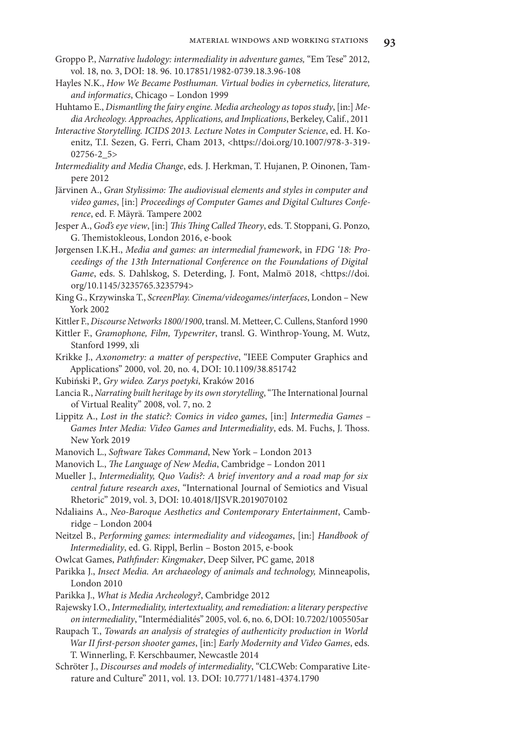- Groppo P., *Narrative ludology: intermediality in adventure games,* "Em Tese" 2012, vol. 18, no. 3, DOI: 18. 96. 10.17851/1982-0739.18.3.96-108
- Hayles N.K., *How We Became Posthuman. Virtual bodies in cybernetics, literature, and informatics*, Chicago – London 1999
- Huhtamo E., *Dismantling the fairy engine. Media archeology as topos study*, [in:] *Media Archeology. Approaches, Applications, and Implications*, Berkeley, Calif., 2011
- *Interactive Storytelling. ICIDS 2013. Lecture Notes in Computer Science*, ed. H. Koenitz, T.I. Sezen, G. Ferri, Cham 2013, <https://doi.org/10.1007/978-3-319- 02756-2\_5>
- *Intermediality and Media Change*, eds. J. Herkman, T. Hujanen, P. Oinonen, Tampere 2012
- Järvinen A., *Gran Stylissimo: The audiovisual elements and styles in computer and video games*, [in:] *Proceedings of Computer Games and Digital Cultures Conference*, ed. F. Mäyrä. Tampere 2002
- Jesper A., *God's eye view*, [in:] *This Thing Called Theory*, eds. T. Stoppani, G. Ponzo, G. Themistokleous, London 2016, e-book
- Jørgensen I.K.H., *Media and games: an intermedial framework*, in *FDG '18: Proceedings of the 13th International Conference on the Foundations of Digital Game*, eds. S. Dahlskog, S. Deterding, J. Font, Malmö 2018, <https://doi. org/10.1145/3235765.3235794>
- King G., Krzywinska T., *ScreenPlay. Cinema/videogames/interfaces*, London New York 2002

Kittler F., *Discourse Networks 1800/1900*, transl. M. Metteer, C. Cullens, Stanford 1990

- Kittler F., *Gramophone, Film, Typewriter*, transl. G. Winthrop-Young, M. Wutz, Stanford 1999, xli
- Krikke J., *Axonometry: a matter of perspective*, "IEEE Computer Graphics and Applications" 2000, vol. 20, no. 4, DOI: 10.1109/38.851742
- Kubiński P., *Gry wideo. Zarys poetyki*, Kraków 2016
- Lancia R., *Narrating built heritage by its own storytelling*, "The International Journal of Virtual Reality" 2008, vol. 7, no. 2
- Lippitz A., *Lost in the static?: Comics in video games*, [in:] *Intermedia Games Games Inter Media: Video Games and Intermediality*, eds. M. Fuchs, J. Thoss. New York 2019
- Manovich L., *Software Takes Command*, New York London 2013
- Manovich L., *The Language of New Media*, Cambridge London 2011
- Mueller J., *Intermediality, Quo Vadis?: A brief inventory and a road map for six central future research axes*, "International Journal of Semiotics and Visual Rhetoric" 2019, vol. 3, DOI: 10.4018/IJSVR.2019070102
- Ndaliains A., *Neo-Baroque Aesthetics and Contemporary Entertainment*, Cambridge – London 2004
- Neitzel B., *Performing games: intermediality and videogames*, [in:] *Handbook of Intermediality*, ed. G. Rippl, Berlin – Boston 2015, e-book

Owlcat Games, *Pathfinder: Kingmaker*, Deep Silver, PC game, 2018

- Parikka J., *Insect Media. An archaeology of animals and technology,* Minneapolis, London 2010
- Parikka J., *What is Media Archeology?*, Cambridge 2012
- Rajewsky I.O., *Intermediality, intertextuality, and remediation: a literary perspective on intermediality*, "Intermédialités" 2005, vol. 6, no. 6, DOI: 10.7202/1005505ar
- Raupach T., *Towards an analysis of strategies of authenticity production in World War II first-person shooter games*, [in:] *Early Modernity and Video Games*, eds. T. Winnerling, F. Kerschbaumer, Newcastle 2014
- Schröter J., *Discourses and models of intermediality*, "CLCWeb: Comparative Literature and Culture" 2011, vol. 13. DOI: 10.7771/1481-4374.1790